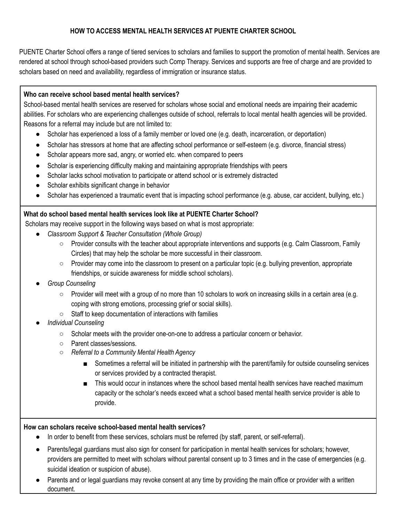# **HOW TO ACCESS MENTAL HEALTH SERVICES AT PUENTE CHARTER SCHOOL**

PUENTE Charter School offers a range of tiered services to scholars and families to support the promotion of mental health. Services are rendered at school through school-based providers such Comp Therapy. Services and supports are free of charge and are provided to scholars based on need and availability, regardless of immigration or insurance status.

#### **Who can receive school based mental health services?**

School-based mental health services are reserved for scholars whose social and emotional needs are impairing their academic abilities. For scholars who are experiencing challenges outside of school, referrals to local mental health agencies will be provided. Reasons for a referral may include but are not limited to:

- Scholar has experienced a loss of a family member or loved one (e.g. death, incarceration, or deportation)
- Scholar has stressors at home that are affecting school performance or self-esteem (e.g. divorce, financial stress)
- Scholar appears more sad, angry, or worried etc. when compared to peers
- Scholar is experiencing difficulty making and maintaining appropriate friendships with peers
- Scholar lacks school motivation to participate or attend school or is extremely distracted
- Scholar exhibits significant change in behavior
- Scholar has experienced a traumatic event that is impacting school performance (e.g. abuse, car accident, bullying, etc.)

### **What do school based mental health services look like at PUENTE Charter School?**

Scholars may receive support in the following ways based on what is most appropriate:

- *● Classroom Support & Teacher Consultation (Whole Group)*
	- Provider consults with the teacher about appropriate interventions and supports (e.g. Calm Classroom, Family Circles) that may help the scholar be more successful in their classroom.
	- Provider may come into the classroom to present on a particular topic (e.g. bullying prevention, appropriate friendships, or suicide awareness for middle school scholars).
- *● Group Counseling*
	- $\circ$  Provider will meet with a group of no more than 10 scholars to work on increasing skills in a certain area (e.g. coping with strong emotions, processing grief or social skills).
	- Staff to keep documentation of interactions with families
- *● Individual Counseling*
	- Scholar meets with the provider one-on-one to address a particular concern or behavior.
	- Parent classes/sessions.
	- *○ Referral to a Community Mental Health Agency*
		- Sometimes a referral will be initiated in partnership with the parent/family for outside counseling services or services provided by a contracted therapist.
		- This would occur in instances where the school based mental health services have reached maximum capacity or the scholar's needs exceed what a school based mental health service provider is able to provide.

### **How can scholars receive school-based mental health services?**

- In order to benefit from these services, scholars must be referred (by staff, parent, or self-referral).
- Parents/legal guardians must also sign for consent for participation in mental health services for scholars; however, providers are permitted to meet with scholars without parental consent up to 3 times and in the case of emergencies (e.g. suicidal ideation or suspicion of abuse).
- Parents and or legal guardians may revoke consent at any time by providing the main office or provider with a written document.